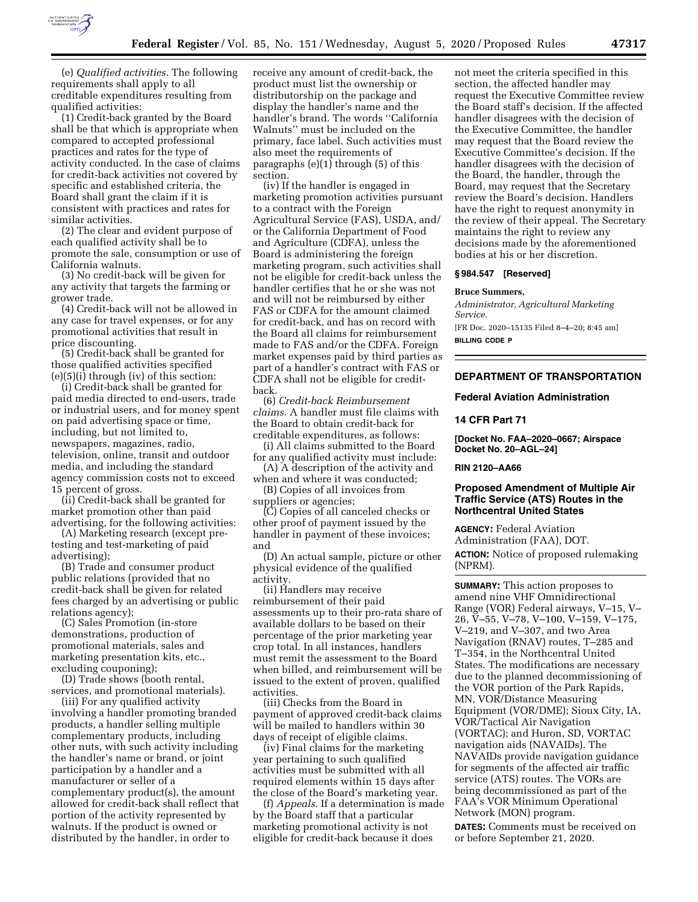

(e) *Qualified activities.* The following requirements shall apply to all creditable expenditures resulting from qualified activities:

(1) Credit-back granted by the Board shall be that which is appropriate when compared to accepted professional practices and rates for the type of activity conducted. In the case of claims for credit-back activities not covered by specific and established criteria, the Board shall grant the claim if it is consistent with practices and rates for similar activities.

(2) The clear and evident purpose of each qualified activity shall be to promote the sale, consumption or use of California walnuts.

(3) No credit-back will be given for any activity that targets the farming or grower trade.

(4) Credit-back will not be allowed in any case for travel expenses, or for any promotional activities that result in price discounting.

(5) Credit-back shall be granted for those qualified activities specified (e)(5)(i) through (iv) of this section:

(i) Credit-back shall be granted for paid media directed to end-users, trade or industrial users, and for money spent on paid advertising space or time, including, but not limited to, newspapers, magazines, radio, television, online, transit and outdoor media, and including the standard agency commission costs not to exceed 15 percent of gross.

(ii) Credit-back shall be granted for market promotion other than paid advertising, for the following activities:

(A) Marketing research (except pretesting and test-marketing of paid advertising);

(B) Trade and consumer product public relations (provided that no credit-back shall be given for related fees charged by an advertising or public relations agency);

(C) Sales Promotion (in-store demonstrations, production of promotional materials, sales and marketing presentation kits, etc., excluding couponing);

(D) Trade shows (booth rental, services, and promotional materials).

(iii) For any qualified activity involving a handler promoting branded products, a handler selling multiple complementary products, including other nuts, with such activity including the handler's name or brand, or joint participation by a handler and a manufacturer or seller of a complementary product(s), the amount allowed for credit-back shall reflect that portion of the activity represented by walnuts. If the product is owned or distributed by the handler, in order to

receive any amount of credit-back, the product must list the ownership or distributorship on the package and display the handler's name and the handler's brand. The words ''California Walnuts'' must be included on the primary, face label. Such activities must also meet the requirements of paragraphs (e)(1) through (5) of this section.

(iv) If the handler is engaged in marketing promotion activities pursuant to a contract with the Foreign Agricultural Service (FAS), USDA, and/ or the California Department of Food and Agriculture (CDFA), unless the Board is administering the foreign marketing program, such activities shall not be eligible for credit-back unless the handler certifies that he or she was not and will not be reimbursed by either FAS or CDFA for the amount claimed for credit-back, and has on record with the Board all claims for reimbursement made to FAS and/or the CDFA. Foreign market expenses paid by third parties as part of a handler's contract with FAS or CDFA shall not be eligible for creditback.

(6) *Credit-back Reimbursement claims.* A handler must file claims with the Board to obtain credit-back for creditable expenditures, as follows:

(i) All claims submitted to the Board for any qualified activity must include:

(A) A description of the activity and when and where it was conducted;

(B) Copies of all invoices from suppliers or agencies;

(C) Copies of all canceled checks or other proof of payment issued by the handler in payment of these invoices; and

(D) An actual sample, picture or other physical evidence of the qualified activity.

(ii) Handlers may receive reimbursement of their paid assessments up to their pro-rata share of available dollars to be based on their percentage of the prior marketing year crop total. In all instances, handlers must remit the assessment to the Board when billed, and reimbursement will be issued to the extent of proven, qualified activities.

(iii) Checks from the Board in payment of approved credit-back claims will be mailed to handlers within 30 days of receipt of eligible claims.

(iv) Final claims for the marketing year pertaining to such qualified activities must be submitted with all required elements within 15 days after the close of the Board's marketing year.

(f) *Appeals.* If a determination is made by the Board staff that a particular marketing promotional activity is not eligible for credit-back because it does

not meet the criteria specified in this section, the affected handler may request the Executive Committee review the Board staff's decision. If the affected handler disagrees with the decision of the Executive Committee, the handler may request that the Board review the Executive Committee's decision. If the handler disagrees with the decision of the Board, the handler, through the Board, may request that the Secretary review the Board's decision. Handlers have the right to request anonymity in the review of their appeal. The Secretary maintains the right to review any decisions made by the aforementioned bodies at his or her discretion.

#### **§ 984.547 [Reserved]**

#### **Bruce Summers,**

*Administrator, Agricultural Marketing Service.*  [FR Doc. 2020–15135 Filed 8–4–20; 8:45 am] **BILLING CODE P** 

## **DEPARTMENT OF TRANSPORTATION**

#### **Federal Aviation Administration**

#### **14 CFR Part 71**

**[Docket No. FAA–2020–0667; Airspace Docket No. 20–AGL–24]** 

**RIN 2120–AA66** 

#### **Proposed Amendment of Multiple Air Traffic Service (ATS) Routes in the Northcentral United States**

**AGENCY:** Federal Aviation Administration (FAA), DOT. **ACTION:** Notice of proposed rulemaking (NPRM).

**SUMMARY:** This action proposes to amend nine VHF Omnidirectional Range (VOR) Federal airways, V–15, V– 26, V–55, V–78, V–100, V–159, V–175, V–219, and V–307, and two Area Navigation (RNAV) routes, T–285 and T–354, in the Northcentral United States. The modifications are necessary due to the planned decommissioning of the VOR portion of the Park Rapids, MN, VOR/Distance Measuring Equipment (VOR/DME); Sioux City, IA, VOR/Tactical Air Navigation (VORTAC); and Huron, SD, VORTAC navigation aids (NAVAIDs). The NAVAIDs provide navigation guidance for segments of the affected air traffic service (ATS) routes. The VORs are being decommissioned as part of the FAA's VOR Minimum Operational Network (MON) program.

**DATES:** Comments must be received on or before September 21, 2020.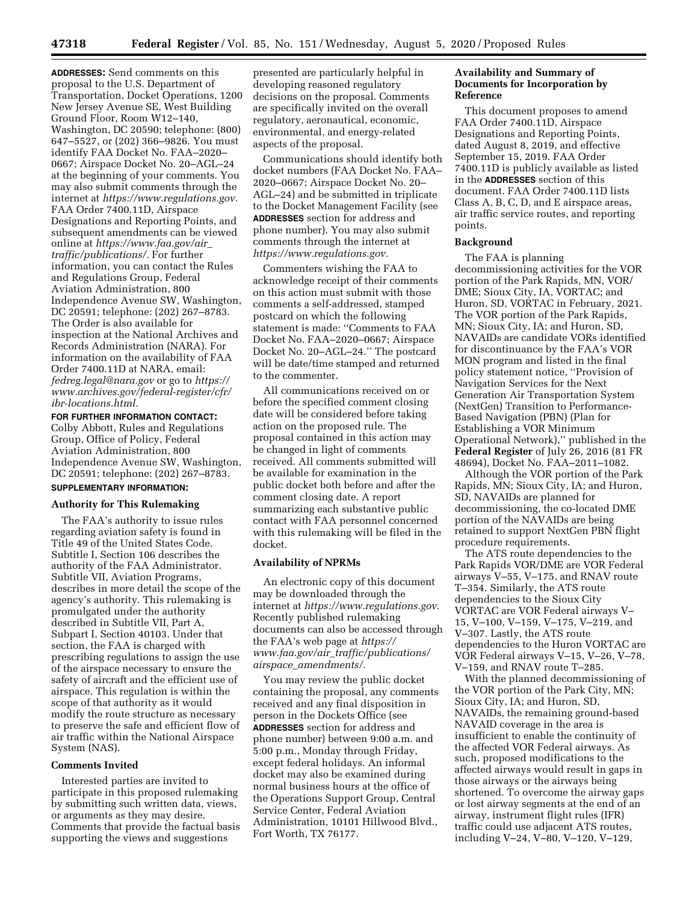**ADDRESSES:** Send comments on this proposal to the U.S. Department of Transportation, Docket Operations, 1200 New Jersey Avenue SE, West Building Ground Floor, Room W12–140, Washington, DC 20590; telephone: (800) 647–5527, or (202) 366–9826. You must identify FAA Docket No. FAA–2020– 0667; Airspace Docket No. 20–AGL–24 at the beginning of your comments. You may also submit comments through the internet at *[https://www.regulations.gov.](https://www.regulations.gov)*  FAA Order 7400.11D, Airspace Designations and Reporting Points, and subsequent amendments can be viewed online at *[https://www.faa.gov/air](https://www.faa.gov/air_traffic/publications/)*\_ *[traffic/publications/.](https://www.faa.gov/air_traffic/publications/)* For further information, you can contact the Rules and Regulations Group, Federal Aviation Administration, 800 Independence Avenue SW, Washington, DC 20591; telephone: (202) 267–8783. The Order is also available for inspection at the National Archives and Records Administration (NARA). For information on the availability of FAA Order 7400.11D at NARA, email: *[fedreg.legal@nara.gov](mailto:fedreg.legal@nara.gov)* or go to *[https://](https://www.archives.gov/federal-register/cfr/ibr-locations.html) [www.archives.gov/federal-register/cfr/](https://www.archives.gov/federal-register/cfr/ibr-locations.html)  [ibr-locations.html.](https://www.archives.gov/federal-register/cfr/ibr-locations.html)* 

**FOR FURTHER INFORMATION CONTACT:** 

Colby Abbott, Rules and Regulations Group, Office of Policy, Federal Aviation Administration, 800 Independence Avenue SW, Washington, DC 20591; telephone: (202) 267–8783.

# **SUPPLEMENTARY INFORMATION:**

## **Authority for This Rulemaking**

The FAA's authority to issue rules regarding aviation safety is found in Title 49 of the United States Code. Subtitle I, Section 106 describes the authority of the FAA Administrator. Subtitle VII, Aviation Programs, describes in more detail the scope of the agency's authority. This rulemaking is promulgated under the authority described in Subtitle VII, Part A, Subpart I, Section 40103. Under that section, the FAA is charged with prescribing regulations to assign the use of the airspace necessary to ensure the safety of aircraft and the efficient use of airspace. This regulation is within the scope of that authority as it would modify the route structure as necessary to preserve the safe and efficient flow of air traffic within the National Airspace System (NAS).

## **Comments Invited**

Interested parties are invited to participate in this proposed rulemaking by submitting such written data, views, or arguments as they may desire. Comments that provide the factual basis supporting the views and suggestions

presented are particularly helpful in developing reasoned regulatory decisions on the proposal. Comments are specifically invited on the overall regulatory, aeronautical, economic, environmental, and energy-related aspects of the proposal.

Communications should identify both docket numbers (FAA Docket No. FAA– 2020–0667; Airspace Docket No. 20– AGL–24) and be submitted in triplicate to the Docket Management Facility (see **ADDRESSES** section for address and phone number). You may also submit comments through the internet at *[https://www.regulations.gov.](https://www.regulations.gov)* 

Commenters wishing the FAA to acknowledge receipt of their comments on this action must submit with those comments a self-addressed, stamped postcard on which the following statement is made: ''Comments to FAA Docket No. FAA–2020–0667; Airspace Docket No. 20–AGL–24.'' The postcard will be date/time stamped and returned to the commenter.

All communications received on or before the specified comment closing date will be considered before taking action on the proposed rule. The proposal contained in this action may be changed in light of comments received. All comments submitted will be available for examination in the public docket both before and after the comment closing date. A report summarizing each substantive public contact with FAA personnel concerned with this rulemaking will be filed in the docket.

## **Availability of NPRMs**

An electronic copy of this document may be downloaded through the internet at *[https://www.regulations.gov.](https://www.regulations.gov)*  Recently published rulemaking documents can also be accessed through the FAA's web page at *[https://](https://www.faa.gov/air_traffic/publications/airspace_amendments/) www.faa.gov/air*\_*[traffic/publications/](https://www.faa.gov/air_traffic/publications/airspace_amendments/) airspace*\_*[amendments/.](https://www.faa.gov/air_traffic/publications/airspace_amendments/)* 

You may review the public docket containing the proposal, any comments received and any final disposition in person in the Dockets Office (see **ADDRESSES** section for address and phone number) between 9:00 a.m. and 5:00 p.m., Monday through Friday, except federal holidays. An informal docket may also be examined during normal business hours at the office of the Operations Support Group, Central Service Center, Federal Aviation Administration, 10101 Hillwood Blvd., Fort Worth, TX 76177.

## **Availability and Summary of Documents for Incorporation by Reference**

This document proposes to amend FAA Order 7400.11D, Airspace Designations and Reporting Points, dated August 8, 2019, and effective September 15, 2019. FAA Order 7400.11D is publicly available as listed in the **ADDRESSES** section of this document. FAA Order 7400.11D lists Class A, B, C, D, and E airspace areas, air traffic service routes, and reporting points.

#### **Background**

The FAA is planning decommissioning activities for the VOR portion of the Park Rapids, MN, VOR/ DME; Sioux City, IA, VORTAC; and Huron, SD, VORTAC in February, 2021. The VOR portion of the Park Rapids, MN; Sioux City, IA; and Huron, SD, NAVAIDs are candidate VORs identified for discontinuance by the FAA's VOR MON program and listed in the final policy statement notice, ''Provision of Navigation Services for the Next Generation Air Transportation System (NextGen) Transition to Performance-Based Navigation (PBN) (Plan for Establishing a VOR Minimum Operational Network),'' published in the **Federal Register** of July 26, 2016 (81 FR 48694), Docket No. FAA–2011–1082.

Although the VOR portion of the Park Rapids, MN; Sioux City, IA; and Huron, SD, NAVAIDs are planned for decommissioning, the co-located DME portion of the NAVAIDs are being retained to support NextGen PBN flight procedure requirements.

The ATS route dependencies to the Park Rapids VOR/DME are VOR Federal airways V–55, V–175, and RNAV route T–354. Similarly, the ATS route dependencies to the Sioux City VORTAC are VOR Federal airways V– 15, V–100, V–159, V–175, V–219, and V–307. Lastly, the ATS route dependencies to the Huron VORTAC are VOR Federal airways V–15, V–26, V–78, V–159, and RNAV route T–285.

With the planned decommissioning of the VOR portion of the Park City, MN; Sioux City, IA; and Huron, SD, NAVAIDs, the remaining ground-based NAVAID coverage in the area is insufficient to enable the continuity of the affected VOR Federal airways. As such, proposed modifications to the affected airways would result in gaps in those airways or the airways being shortened. To overcome the airway gaps or lost airway segments at the end of an airway, instrument flight rules (IFR) traffic could use adjacent ATS routes, including V–24, V–80, V–120, V–129,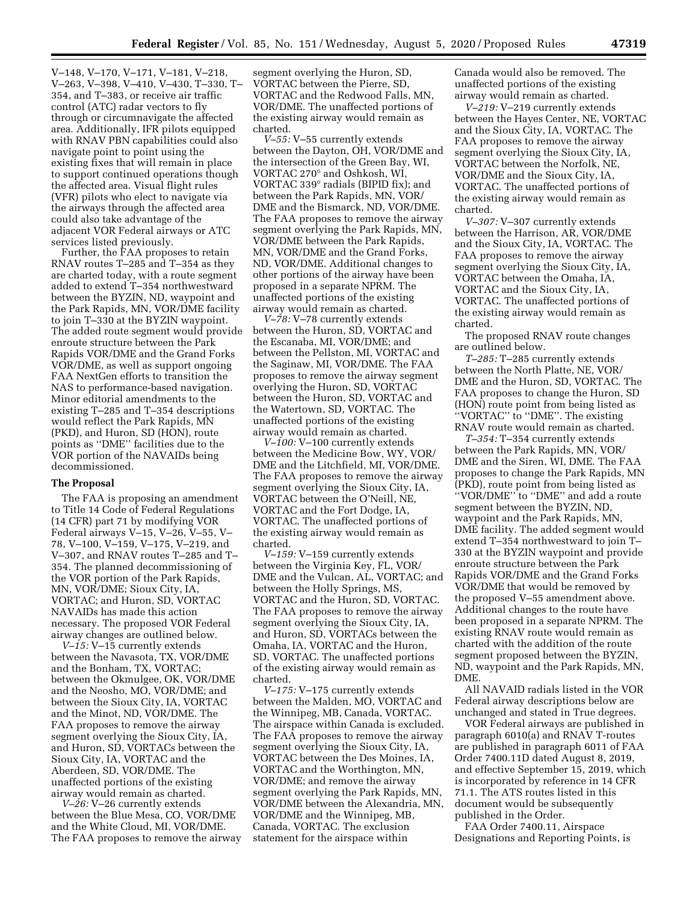V–148, V–170, V–171, V–181, V–218, V–263, V–398, V–410, V–430, T–330, T– 354, and T–383, or receive air traffic control (ATC) radar vectors to fly through or circumnavigate the affected area. Additionally, IFR pilots equipped with RNAV PBN capabilities could also navigate point to point using the existing fixes that will remain in place to support continued operations though the affected area. Visual flight rules (VFR) pilots who elect to navigate via the airways through the affected area could also take advantage of the adjacent VOR Federal airways or ATC services listed previously.

Further, the FAA proposes to retain RNAV routes T–285 and T–354 as they are charted today, with a route segment added to extend T–354 northwestward between the BYZIN, ND, waypoint and the Park Rapids, MN, VOR/DME facility to join T–330 at the BYZIN waypoint. The added route segment would provide enroute structure between the Park Rapids VOR/DME and the Grand Forks VOR/DME, as well as support ongoing FAA NextGen efforts to transition the NAS to performance-based navigation. Minor editorial amendments to the existing T–285 and T–354 descriptions would reflect the Park Rapids, MN (PKD), and Huron, SD (HON), route points as ''DME'' facilities due to the VOR portion of the NAVAIDs being decommissioned.

#### **The Proposal**

The FAA is proposing an amendment to Title 14 Code of Federal Regulations (14 CFR) part 71 by modifying VOR Federal airways V–15, V–26, V–55, V– 78, V–100, V–159, V–175, V–219, and V–307, and RNAV routes T–285 and T– 354. The planned decommissioning of the VOR portion of the Park Rapids, MN, VOR/DME; Sioux City, IA, VORTAC; and Huron, SD, VORTAC NAVAIDs has made this action necessary. The proposed VOR Federal airway changes are outlined below.

*V–15:* V–15 currently extends between the Navasota, TX, VOR/DME and the Bonham, TX, VORTAC; between the Okmulgee, OK, VOR/DME and the Neosho, MO, VOR/DME; and between the Sioux City, IA, VORTAC and the Minot, ND, VOR/DME. The FAA proposes to remove the airway segment overlying the Sioux City, IA, and Huron, SD, VORTACs between the Sioux City, IA, VORTAC and the Aberdeen, SD, VOR/DME. The unaffected portions of the existing airway would remain as charted.

*V–26:* V–26 currently extends between the Blue Mesa, CO, VOR/DME and the White Cloud, MI, VOR/DME. The FAA proposes to remove the airway segment overlying the Huron, SD, VORTAC between the Pierre, SD, VORTAC and the Redwood Falls, MN, VOR/DME. The unaffected portions of the existing airway would remain as charted.

*V–55:* V–55 currently extends between the Dayton, OH, VOR/DME and the intersection of the Green Bay, WI, VORTAC 270° and Oshkosh, WI, VORTAC 339° radials (BIPID fix); and between the Park Rapids, MN, VOR/ DME and the Bismarck, ND, VOR/DME. The FAA proposes to remove the airway segment overlying the Park Rapids, MN, VOR/DME between the Park Rapids, MN, VOR/DME and the Grand Forks, ND, VOR/DME. Additional changes to other portions of the airway have been proposed in a separate NPRM. The unaffected portions of the existing airway would remain as charted.

*V–78:* V–78 currently extends between the Huron, SD, VORTAC and the Escanaba, MI, VOR/DME; and between the Pellston, MI, VORTAC and the Saginaw, MI, VOR/DME. The FAA proposes to remove the airway segment overlying the Huron, SD, VORTAC between the Huron, SD, VORTAC and the Watertown, SD, VORTAC. The unaffected portions of the existing airway would remain as charted.

*V–100:* V–100 currently extends between the Medicine Bow, WY, VOR/ DME and the Litchfield, MI, VOR/DME. The FAA proposes to remove the airway segment overlying the Sioux City, IA, VORTAC between the O'Neill, NE, VORTAC and the Fort Dodge, IA, VORTAC. The unaffected portions of the existing airway would remain as charted.

*V–159:* V–159 currently extends between the Virginia Key, FL, VOR/ DME and the Vulcan, AL, VORTAC; and between the Holly Springs, MS, VORTAC and the Huron, SD, VORTAC. The FAA proposes to remove the airway segment overlying the Sioux City, IA, and Huron, SD, VORTACs between the Omaha, IA, VORTAC and the Huron, SD, VORTAC. The unaffected portions of the existing airway would remain as charted.

*V–175:* V–175 currently extends between the Malden, MO, VORTAC and the Winnipeg, MB, Canada, VORTAC. The airspace within Canada is excluded. The FAA proposes to remove the airway segment overlying the Sioux City, IA, VORTAC between the Des Moines, IA, VORTAC and the Worthington, MN, VOR/DME; and remove the airway segment overlying the Park Rapids, MN, VOR/DME between the Alexandria, MN, VOR/DME and the Winnipeg, MB, Canada, VORTAC. The exclusion statement for the airspace within

Canada would also be removed. The unaffected portions of the existing airway would remain as charted.

*V–219:* V–219 currently extends between the Hayes Center, NE, VORTAC and the Sioux City, IA, VORTAC. The FAA proposes to remove the airway segment overlying the Sioux City, IA, VORTAC between the Norfolk, NE, VOR/DME and the Sioux City, IA, VORTAC. The unaffected portions of the existing airway would remain as charted.

*V–307:* V–307 currently extends between the Harrison, AR, VOR/DME and the Sioux City, IA, VORTAC. The FAA proposes to remove the airway segment overlying the Sioux City, IA, VORTAC between the Omaha, IA, VORTAC and the Sioux City, IA, VORTAC. The unaffected portions of the existing airway would remain as charted.

The proposed RNAV route changes are outlined below.

*T–285:* T–285 currently extends between the North Platte, NE, VOR/ DME and the Huron, SD, VORTAC. The FAA proposes to change the Huron, SD (HON) route point from being listed as ''VORTAC'' to ''DME''. The existing RNAV route would remain as charted.

*T–354:* T–354 currently extends between the Park Rapids, MN, VOR/ DME and the Siren, WI, DME. The FAA proposes to change the Park Rapids, MN (PKD), route point from being listed as ''VOR/DME'' to ''DME'' and add a route segment between the BYZIN, ND, waypoint and the Park Rapids, MN, DME facility. The added segment would extend T–354 northwestward to join T– 330 at the BYZIN waypoint and provide enroute structure between the Park Rapids VOR/DME and the Grand Forks VOR/DME that would be removed by the proposed V–55 amendment above. Additional changes to the route have been proposed in a separate NPRM. The existing RNAV route would remain as charted with the addition of the route segment proposed between the BYZIN, ND, waypoint and the Park Rapids, MN, DME.

All NAVAID radials listed in the VOR Federal airway descriptions below are unchanged and stated in True degrees.

VOR Federal airways are published in paragraph 6010(a) and RNAV T-routes are published in paragraph 6011 of FAA Order 7400.11D dated August 8, 2019, and effective September 15, 2019, which is incorporated by reference in 14 CFR 71.1. The ATS routes listed in this document would be subsequently published in the Order.

FAA Order 7400.11, Airspace Designations and Reporting Points, is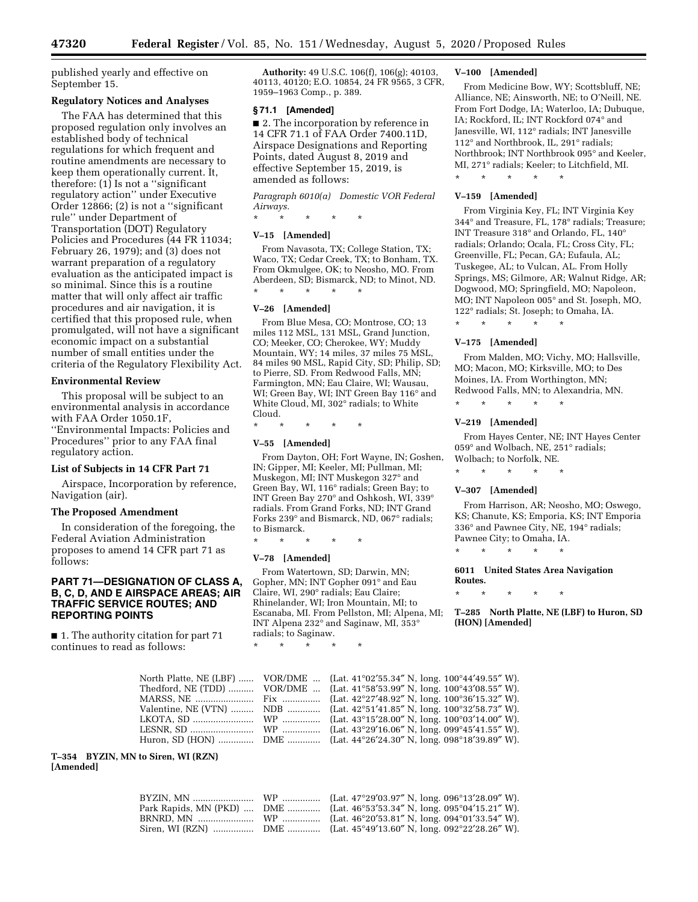published yearly and effective on September 15.

## **Regulatory Notices and Analyses**

The FAA has determined that this proposed regulation only involves an established body of technical regulations for which frequent and routine amendments are necessary to keep them operationally current. It, therefore:  $(1)$  Is not a "significant" regulatory action'' under Executive Order 12866; (2) is not a ''significant rule'' under Department of Transportation (DOT) Regulatory Policies and Procedures (44 FR 11034; February 26, 1979); and (3) does not warrant preparation of a regulatory evaluation as the anticipated impact is so minimal. Since this is a routine matter that will only affect air traffic procedures and air navigation, it is certified that this proposed rule, when promulgated, will not have a significant economic impact on a substantial number of small entities under the criteria of the Regulatory Flexibility Act.

#### **Environmental Review**

This proposal will be subject to an environmental analysis in accordance with FAA Order 1050.1F, ''Environmental Impacts: Policies and Procedures'' prior to any FAA final regulatory action.

## **List of Subjects in 14 CFR Part 71**

Airspace, Incorporation by reference, Navigation (air).

#### **The Proposed Amendment**

In consideration of the foregoing, the Federal Aviation Administration proposes to amend 14 CFR part 71 as follows:

## **PART 71—DESIGNATION OF CLASS A, B, C, D, AND E AIRSPACE AREAS; AIR TRAFFIC SERVICE ROUTES; AND REPORTING POINTS**

■ 1. The authority citation for part 71 continues to read as follows:

**Authority:** 49 U.S.C. 106(f), 106(g); 40103, 40113, 40120; E.O. 10854, 24 FR 9565, 3 CFR, 1959–1963 Comp., p. 389.

#### **§ 71.1 [Amended]**

■ 2. The incorporation by reference in 14 CFR 71.1 of FAA Order 7400.11D, Airspace Designations and Reporting Points, dated August 8, 2019 and effective September 15, 2019, is amended as follows:

*Paragraph 6010(a) Domestic VOR Federal Airways.* 

\* \* \* \* \*

#### **V–15 [Amended]**

From Navasota, TX; College Station, TX; Waco, TX; Cedar Creek, TX; to Bonham, TX. From Okmulgee, OK; to Neosho, MO. From Aberdeen, SD; Bismarck, ND; to Minot, ND. \* \* \* \* \*

#### **V–26 [Amended]**

From Blue Mesa, CO; Montrose, CO; 13 miles 112 MSL, 131 MSL, Grand Junction, CO; Meeker, CO; Cherokee, WY; Muddy Mountain, WY; 14 miles, 37 miles 75 MSL, 84 miles 90 MSL, Rapid City, SD; Philip, SD; to Pierre, SD. From Redwood Falls, MN; Farmington, MN; Eau Claire, WI; Wausau, WI; Green Bay, WI; INT Green Bay 116° and White Cloud, MI, 302° radials; to White Cloud.

\* \* \* \* \*

#### **V–55 [Amended]**

From Dayton, OH; Fort Wayne, IN; Goshen, IN; Gipper, MI; Keeler, MI; Pullman, MI; Muskegon, MI; INT Muskegon 327° and Green Bay, WI, 116° radials; Green Bay; to INT Green Bay 270° and Oshkosh, WI, 339° radials. From Grand Forks, ND; INT Grand Forks 239° and Bismarck, ND, 067° radials; to Bismarck.

\* \* \* \* \*

#### **V–78 [Amended]**

From Watertown, SD; Darwin, MN; Gopher, MN; INT Gopher 091° and Eau Claire, WI, 290° radials; Eau Claire; Rhinelander, WI; Iron Mountain, MI; to Escanaba, MI. From Pellston, MI; Alpena, MI; INT Alpena 232° and Saginaw, MI, 353° radials; to Saginaw.

\* \* \* \* \*

#### **V–100 [Amended]**

From Medicine Bow, WY; Scottsbluff, NE; Alliance, NE; Ainsworth, NE; to O'Neill, NE. From Fort Dodge, IA; Waterloo, IA; Dubuque, IA; Rockford, IL; INT Rockford 074° and Janesville, WI, 112° radials; INT Janesville 112° and Northbrook, IL, 291° radials; Northbrook; INT Northbrook 095° and Keeler, MI, 271° radials; Keeler; to Litchfield, MI.

\* \* \* \* \*

#### **V–159 [Amended]**

From Virginia Key, FL; INT Virginia Key 344° and Treasure, FL, 178° radials; Treasure; INT Treasure 318° and Orlando, FL, 140° radials; Orlando; Ocala, FL; Cross City, FL; Greenville, FL; Pecan, GA; Eufaula, AL; Tuskegee, AL; to Vulcan, AL. From Holly Springs, MS; Gilmore, AR; Walnut Ridge, AR; Dogwood, MO; Springfield, MO; Napoleon, MO; INT Napoleon 005° and St. Joseph, MO, 122° radials; St. Joseph; to Omaha, IA.

\* \* \* \* \*

#### **V–175 [Amended]**

From Malden, MO; Vichy, MO; Hallsville, MO; Macon, MO; Kirksville, MO; to Des Moines, IA. From Worthington, MN; Redwood Falls, MN; to Alexandria, MN.

#### **V–219 [Amended]**

\* \* \* \* \*

From Hayes Center, NE; INT Hayes Center 059° and Wolbach, NE, 251° radials; Wolbach; to Norfolk, NE.

\* \* \* \* \*

#### **V–307 [Amended]**

From Harrison, AR; Neosho, MO; Oswego, KS; Chanute, KS; Emporia, KS; INT Emporia 336° and Pawnee City, NE, 194° radials; Pawnee City; to Omaha, IA.

\* \* \* \* \*

**6011 United States Area Navigation Routes.** 

\* \* \* \* \*

**T–285 North Platte, NE (LBF) to Huron, SD (HON) [Amended]** 

|  | North Platte, NE (LBF)  VOR/DME  (Lat. 41°02'55.34" N, long. 100°44'49.55" W). |
|--|--------------------------------------------------------------------------------|
|  | Thedford, NE (TDD)  VOR/DME  (Lat. 41°58'53.99" N, long. 100°43'08.55" W).     |
|  |                                                                                |
|  | Valentine, NE (VTN)  NDB  (Lat. 42°51'41.85" N, long. 100°32'58.73" W).        |
|  |                                                                                |
|  |                                                                                |
|  | Huron, SD (HON)  DME  (Lat. 44°26'24.30" N, long. 098°18'39.89" W).            |
|  |                                                                                |

**T–354 BYZIN, MN to Siren, WI (RZN) [Amended]** 

|  | Park Rapids, MN (PKD)  DME  (Lat. 46°53'53.34" N, long. 095°04'15.21" W). |
|--|---------------------------------------------------------------------------|
|  |                                                                           |
|  |                                                                           |